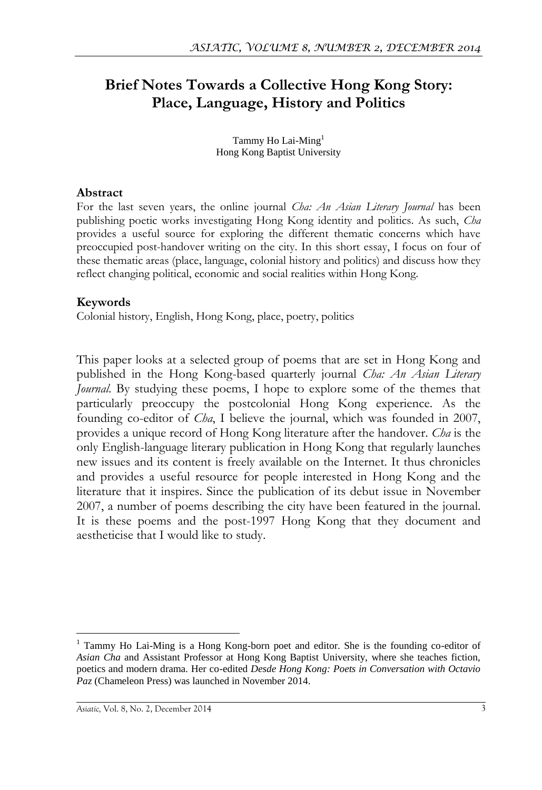# **Brief Notes Towards a Collective Hong Kong Story: Place, Language, History and Politics**

Tammy Ho Lai-Ming<sup>1</sup> Hong Kong Baptist University

#### **Abstract**

For the last seven years, the online journal *Cha: An Asian Literary Journal* has been publishing poetic works investigating Hong Kong identity and politics. As such, *Cha* provides a useful source for exploring the different thematic concerns which have preoccupied post-handover writing on the city. In this short essay, I focus on four of these thematic areas (place, language, colonial history and politics) and discuss how they reflect changing political, economic and social realities within Hong Kong.

### **Keywords**

Colonial history, English, Hong Kong, place, poetry, politics

This paper looks at a selected group of poems that are set in Hong Kong and published in the Hong Kong-based quarterly journal *Cha: An Asian Literary Journal*. By studying these poems, I hope to explore some of the themes that particularly preoccupy the postcolonial Hong Kong experience. As the founding co-editor of *Cha*, I believe the journal, which was founded in 2007, provides a unique record of Hong Kong literature after the handover. *Cha* is the only English-language literary publication in Hong Kong that regularly launches new issues and its content is freely available on the Internet. It thus chronicles and provides a useful resource for people interested in Hong Kong and the literature that it inspires. Since the publication of its debut issue in November 2007, a number of poems describing the city have been featured in the journal. It is these poems and the post-1997 Hong Kong that they document and aestheticise that I would like to study.

 $\overline{a}$ 

<sup>&</sup>lt;sup>1</sup> Tammy Ho Lai-Ming is a Hong Kong-born poet and editor. She is the founding co-editor of *Asian Cha* and Assistant Professor at Hong Kong Baptist University, where she teaches fiction, poetics and modern drama. Her co-edited *Desde Hong Kong: Poets in Conversation with Octavio Paz* (Chameleon Press) was launched in November 2014.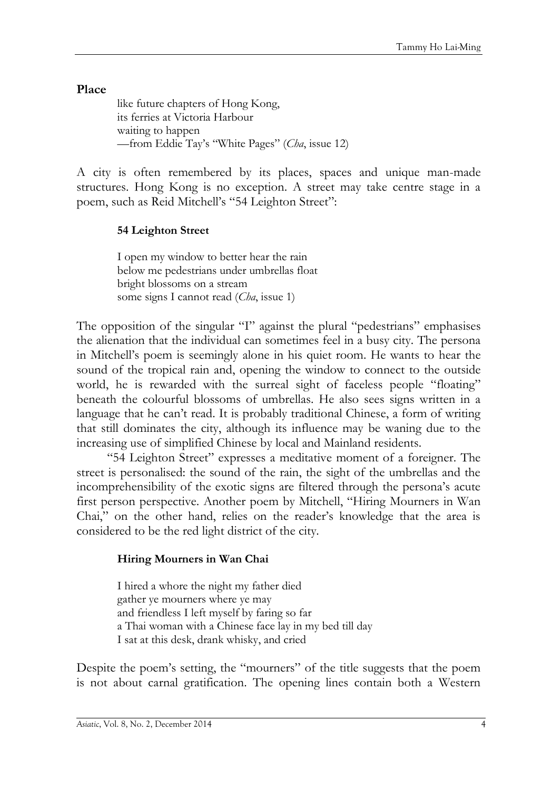**Place**

like future chapters of Hong Kong, its ferries at Victoria Harbour waiting to happen —from Eddie Tay's "White Pages" (*Cha*, issue 12)

A city is often remembered by its places, spaces and unique man-made structures. Hong Kong is no exception. A street may take centre stage in a poem, such as Reid Mitchell's "54 Leighton Street":

#### **54 Leighton Street**

I open my window to better hear the rain below me pedestrians under umbrellas float bright blossoms on a stream some signs I cannot read (*Cha*, issue 1)

The opposition of the singular "I" against the plural "pedestrians" emphasises the alienation that the individual can sometimes feel in a busy city. The persona in Mitchell's poem is seemingly alone in his quiet room. He wants to hear the sound of the tropical rain and, opening the window to connect to the outside world, he is rewarded with the surreal sight of faceless people "floating" beneath the colourful blossoms of umbrellas. He also sees signs written in a language that he can't read. It is probably traditional Chinese, a form of writing that still dominates the city, although its influence may be waning due to the increasing use of simplified Chinese by local and Mainland residents.

―54 Leighton Street‖ expresses a meditative moment of a foreigner. The street is personalised: the sound of the rain, the sight of the umbrellas and the incomprehensibility of the exotic signs are filtered through the persona's acute first person perspective. Another poem by Mitchell, "Hiring Mourners in Wan Chai," on the other hand, relies on the reader's knowledge that the area is considered to be the red light district of the city.

### **Hiring Mourners in Wan Chai**

I hired a whore the night my father died gather ye mourners where ye may and friendless I left myself by faring so far a Thai woman with a Chinese face lay in my bed till day I sat at this desk, drank whisky, and cried

Despite the poem's setting, the "mourners" of the title suggests that the poem is not about carnal gratification. The opening lines contain both a Western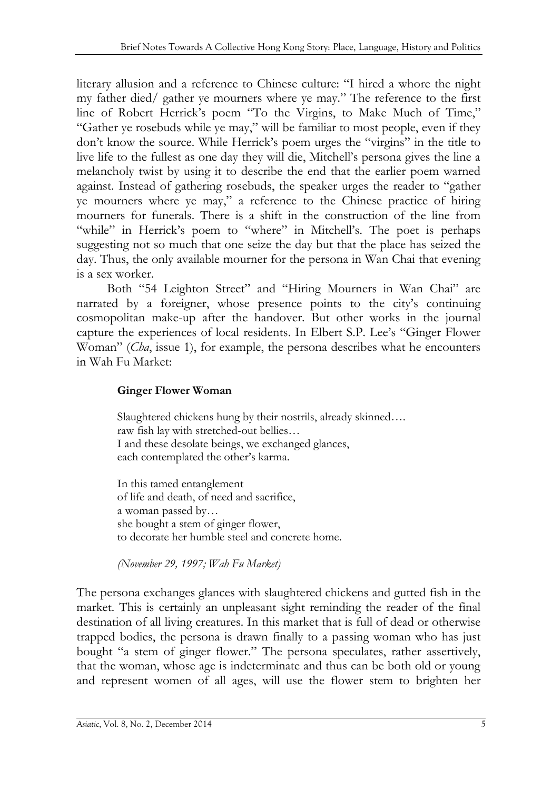literary allusion and a reference to Chinese culture: "I hired a whore the night my father died/ gather ye mourners where ye may." The reference to the first line of Robert Herrick's poem "To the Virgins, to Make Much of Time," "Gather ye rosebuds while ye may," will be familiar to most people, even if they don't know the source. While Herrick's poem urges the "virgins" in the title to live life to the fullest as one day they will die, Mitchell's persona gives the line a melancholy twist by using it to describe the end that the earlier poem warned against. Instead of gathering rosebuds, the speaker urges the reader to "gather ye mourners where ye may," a reference to the Chinese practice of hiring mourners for funerals. There is a shift in the construction of the line from "while" in Herrick's poem to "where" in Mitchell's. The poet is perhaps suggesting not so much that one seize the day but that the place has seized the day. Thus, the only available mourner for the persona in Wan Chai that evening is a sex worker.

Both "54 Leighton Street" and "Hiring Mourners in Wan Chai" are narrated by a foreigner, whose presence points to the city's continuing cosmopolitan make-up after the handover. But other works in the journal capture the experiences of local residents. In Elbert S.P. Lee's "Ginger Flower Woman" (*Cha*, issue 1), for example, the persona describes what he encounters in Wah Fu Market:

### **Ginger Flower Woman**

Slaughtered chickens hung by their nostrils, already skinned…. raw fish lay with stretched-out bellies… I and these desolate beings, we exchanged glances, each contemplated the other's karma.

In this tamed entanglement of life and death, of need and sacrifice, a woman passed by… she bought a stem of ginger flower, to decorate her humble steel and concrete home.

*(November 29, 1997; Wah Fu Market)*

The persona exchanges glances with slaughtered chickens and gutted fish in the market. This is certainly an unpleasant sight reminding the reader of the final destination of all living creatures. In this market that is full of dead or otherwise trapped bodies, the persona is drawn finally to a passing woman who has just bought "a stem of ginger flower." The persona speculates, rather assertively, that the woman, whose age is indeterminate and thus can be both old or young and represent women of all ages, will use the flower stem to brighten her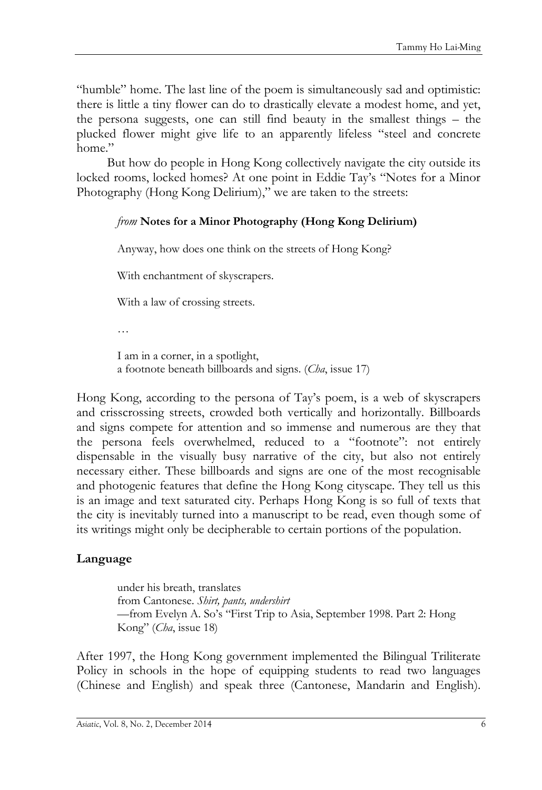"humble" home. The last line of the poem is simultaneously sad and optimistic: there is little a tiny flower can do to drastically elevate a modest home, and yet, the persona suggests, one can still find beauty in the smallest things – the plucked flower might give life to an apparently lifeless "steel and concrete home."

But how do people in Hong Kong collectively navigate the city outside its locked rooms, locked homes? At one point in Eddie Tay's "Notes for a Minor Photography (Hong Kong Delirium)," we are taken to the streets:

### *from* **Notes for a Minor Photography (Hong Kong Delirium)**

Anyway, how does one think on the streets of Hong Kong?

With enchantment of skyscrapers.

With a law of crossing streets.

…

I am in a corner, in a spotlight, a footnote beneath billboards and signs. (*Cha*, issue 17)

Hong Kong, according to the persona of Tay's poem, is a web of skyscrapers and crisscrossing streets, crowded both vertically and horizontally. Billboards and signs compete for attention and so immense and numerous are they that the persona feels overwhelmed, reduced to a "footnote": not entirely dispensable in the visually busy narrative of the city, but also not entirely necessary either. These billboards and signs are one of the most recognisable and photogenic features that define the Hong Kong cityscape. They tell us this is an image and text saturated city. Perhaps Hong Kong is so full of texts that the city is inevitably turned into a manuscript to be read, even though some of its writings might only be decipherable to certain portions of the population.

# **Language**

under his breath, translates from Cantonese. *Shirt, pants, undershirt* —from Evelyn A. So's "First Trip to Asia, September 1998. Part 2: Hong Kong" (*Cha*, issue 18)

After 1997, the Hong Kong government implemented the Bilingual Triliterate Policy in schools in the hope of equipping students to read two languages (Chinese and English) and speak three (Cantonese, Mandarin and English).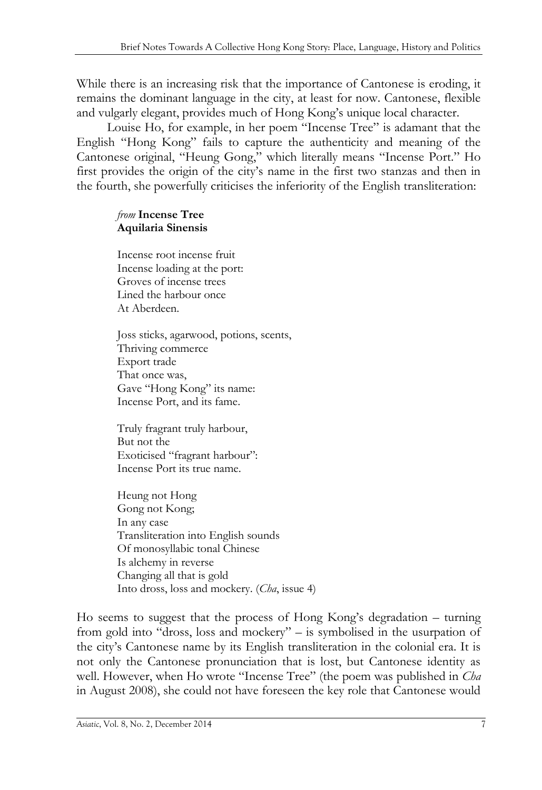While there is an increasing risk that the importance of Cantonese is eroding, it remains the dominant language in the city, at least for now. Cantonese, flexible and vulgarly elegant, provides much of Hong Kong's unique local character.

Louise Ho, for example, in her poem "Incense Tree" is adamant that the English "Hong Kong" fails to capture the authenticity and meaning of the Cantonese original, "Heung Gong," which literally means "Incense Port." Ho first provides the origin of the city's name in the first two stanzas and then in the fourth, she powerfully criticises the inferiority of the English transliteration:

#### *from* **Incense Tree Aquilaria Sinensis**

Incense root incense fruit Incense loading at the port: Groves of incense trees Lined the harbour once At Aberdeen.

Joss sticks, agarwood, potions, scents, Thriving commerce Export trade That once was, Gave "Hong Kong" its name: Incense Port, and its fame.

Truly fragrant truly harbour, But not the Exoticised "fragrant harbour": Incense Port its true name.

Heung not Hong Gong not Kong; In any case Transliteration into English sounds Of monosyllabic tonal Chinese Is alchemy in reverse Changing all that is gold Into dross, loss and mockery. (*Cha*, issue 4)

Ho seems to suggest that the process of Hong Kong's degradation – turning from gold into "dross, loss and mockery" – is symbolised in the usurpation of the city's Cantonese name by its English transliteration in the colonial era. It is not only the Cantonese pronunciation that is lost, but Cantonese identity as well. However, when Ho wrote "Incense Tree" (the poem was published in *Cha* in August 2008), she could not have foreseen the key role that Cantonese would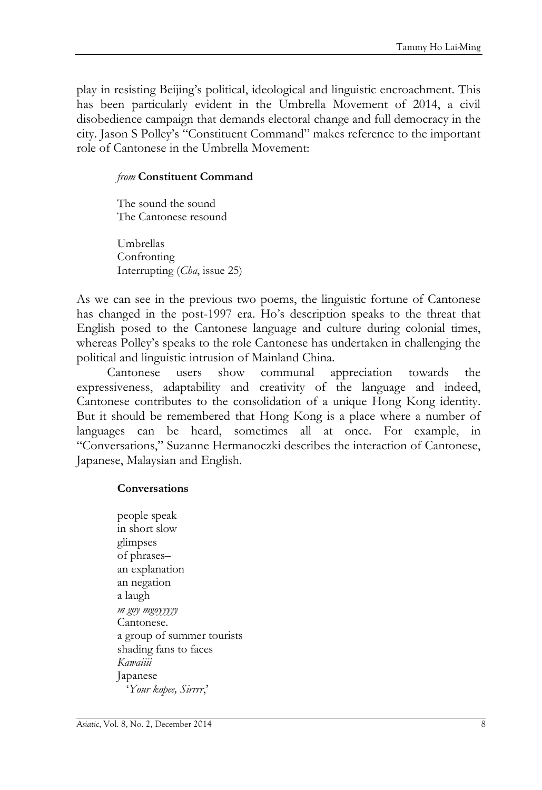play in resisting Beijing's political, ideological and linguistic encroachment. This has been particularly evident in the Umbrella Movement of 2014, a civil disobedience campaign that demands electoral change and full democracy in the city. Jason S Polley's "Constituent Command" makes reference to the important role of Cantonese in the Umbrella Movement:

#### *from* **Constituent Command**

The sound the sound The Cantonese resound

Umbrellas Confronting Interrupting (*Cha*, issue 25)

As we can see in the previous two poems, the linguistic fortune of Cantonese has changed in the post-1997 era. Ho's description speaks to the threat that English posed to the Cantonese language and culture during colonial times, whereas Polley's speaks to the role Cantonese has undertaken in challenging the political and linguistic intrusion of Mainland China.

Cantonese users show communal appreciation towards the expressiveness, adaptability and creativity of the language and indeed, Cantonese contributes to the consolidation of a unique Hong Kong identity. But it should be remembered that Hong Kong is a place where a number of languages can be heard, sometimes all at once. For example, in ―Conversations,‖ Suzanne Hermanoczki describes the interaction of Cantonese, Japanese, Malaysian and English.

#### **Conversations**

people speak in short slow glimpses of phrases– an explanation an negation a laugh *m goy mgoyyyyy* Cantonese. a group of summer tourists shading fans to faces *Kawaiiii* Japanese ‗*Your kopee, Sirrrr*,'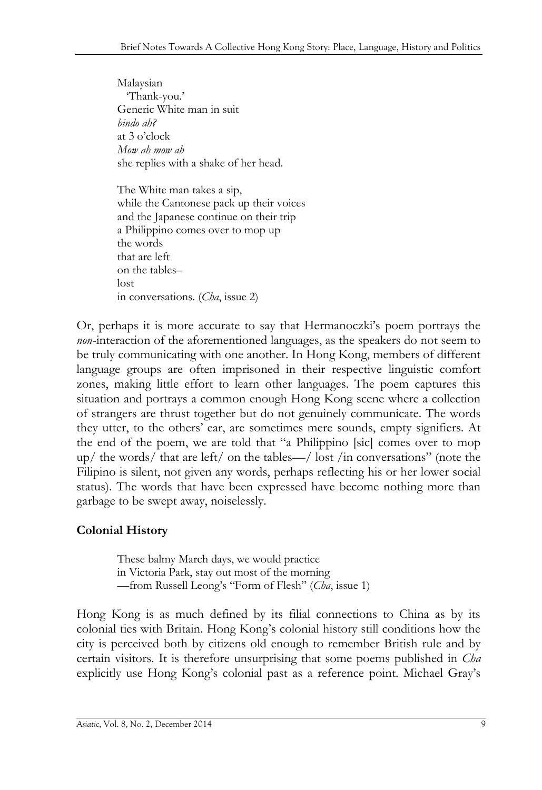Malaysian ‗Thank-you.' Generic White man in suit *bindo ah?*  at 3 o'clock *Mow ah mow ah* she replies with a shake of her head.

The White man takes a sip, while the Cantonese pack up their voices and the Japanese continue on their trip a Philippino comes over to mop up the words that are left on the tables– lost in conversations. (*Cha*, issue 2)

Or, perhaps it is more accurate to say that Hermanoczki's poem portrays the *non*-interaction of the aforementioned languages, as the speakers do not seem to be truly communicating with one another. In Hong Kong, members of different language groups are often imprisoned in their respective linguistic comfort zones, making little effort to learn other languages. The poem captures this situation and portrays a common enough Hong Kong scene where a collection of strangers are thrust together but do not genuinely communicate. The words they utter, to the others' ear, are sometimes mere sounds, empty signifiers. At the end of the poem, we are told that "a Philippino [sic] comes over to mop up/ the words/ that are left/ on the tables—/ lost /in conversations" (note the Filipino is silent, not given any words, perhaps reflecting his or her lower social status). The words that have been expressed have become nothing more than garbage to be swept away, noiselessly.

# **Colonial History**

These balmy March days, we would practice in Victoria Park, stay out most of the morning —from Russell Leong's "Form of Flesh" (*Cha*, issue 1)

Hong Kong is as much defined by its filial connections to China as by its colonial ties with Britain. Hong Kong's colonial history still conditions how the city is perceived both by citizens old enough to remember British rule and by certain visitors. It is therefore unsurprising that some poems published in *Cha* explicitly use Hong Kong's colonial past as a reference point. Michael Gray's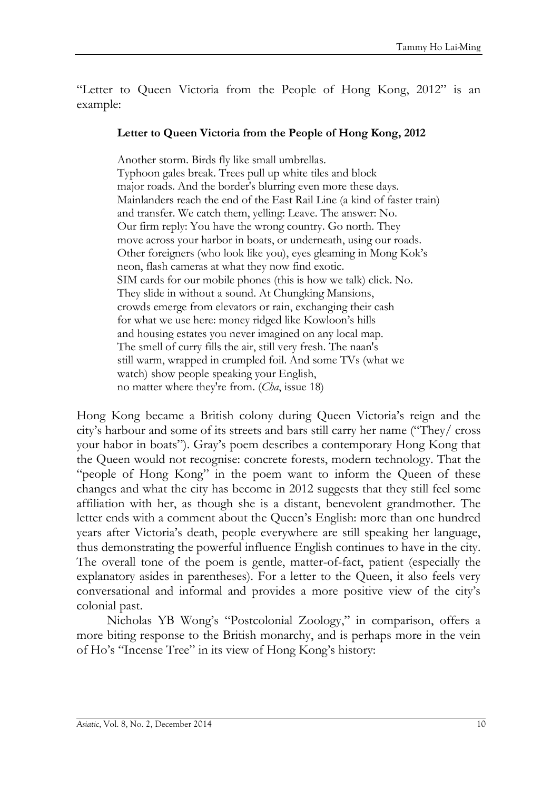"Letter to Queen Victoria from the People of Hong Kong, 2012" is an example:

#### **Letter to Queen Victoria from the People of Hong Kong, 2012**

Another storm. Birds fly like small umbrellas. Typhoon gales break. Trees pull up white tiles and block major roads. And the border's blurring even more these days. Mainlanders reach the end of the East Rail Line (a kind of faster train) and transfer. We catch them, yelling: Leave. The answer: No. Our firm reply: You have the wrong country. Go north. They move across your harbor in boats, or underneath, using our roads. Other foreigners (who look like you), eyes gleaming in Mong Kok's neon, flash cameras at what they now find exotic. SIM cards for our mobile phones (this is how we talk) click. No. They slide in without a sound. At Chungking Mansions, crowds emerge from elevators or rain, exchanging their cash for what we use here: money ridged like Kowloon's hills and housing estates you never imagined on any local map. The smell of curry fills the air, still very fresh. The naan's still warm, wrapped in crumpled foil. And some TVs (what we watch) show people speaking your English, no matter where they're from. (*Cha*, issue 18)

Hong Kong became a British colony during Queen Victoria's reign and the city's harbour and some of its streets and bars still carry her name ("They/ cross your habor in boats"). Gray's poem describes a contemporary Hong Kong that the Queen would not recognise: concrete forests, modern technology. That the "people of Hong Kong" in the poem want to inform the Queen of these changes and what the city has become in 2012 suggests that they still feel some affiliation with her, as though she is a distant, benevolent grandmother. The letter ends with a comment about the Queen's English: more than one hundred years after Victoria's death, people everywhere are still speaking her language, thus demonstrating the powerful influence English continues to have in the city. The overall tone of the poem is gentle, matter-of-fact, patient (especially the explanatory asides in parentheses). For a letter to the Queen, it also feels very conversational and informal and provides a more positive view of the city's colonial past.

Nicholas YB Wong's "Postcolonial Zoology," in comparison, offers a more biting response to the British monarchy, and is perhaps more in the vein of Ho's "Incense Tree" in its view of Hong Kong's history: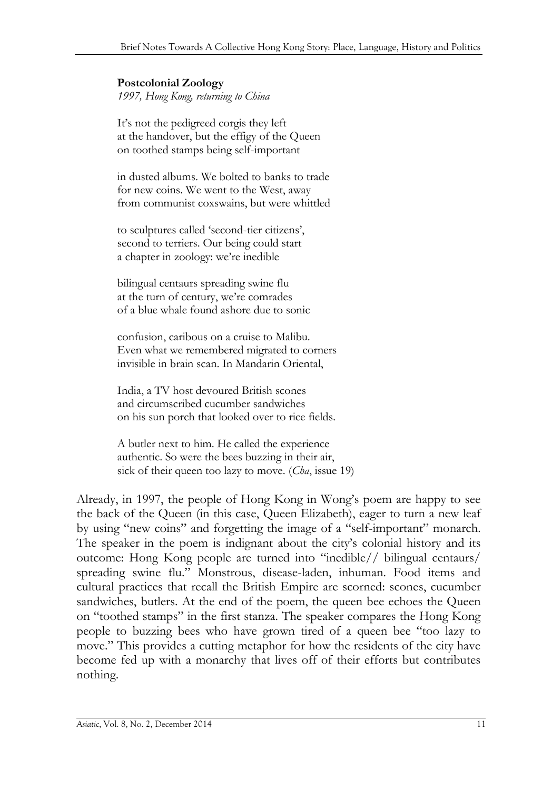#### **Postcolonial Zoology** *1997, Hong Kong, returning to China*

It's not the pedigreed corgis they left at the handover, but the effigy of the Queen on toothed stamps being self-important

in dusted albums. We bolted to banks to trade for new coins. We went to the West, away from communist coxswains, but were whittled

to sculptures called 'second-tier citizens', second to terriers. Our being could start a chapter in zoology: we're inedible

bilingual centaurs spreading swine flu at the turn of century, we're comrades of a blue whale found ashore due to sonic

confusion, caribous on a cruise to Malibu. Even what we remembered migrated to corners invisible in brain scan. In Mandarin Oriental,

India, a TV host devoured British scones and circumscribed cucumber sandwiches on his sun porch that looked over to rice fields.

A butler next to him. He called the experience authentic. So were the bees buzzing in their air, sick of their queen too lazy to move. (*Cha*, issue 19)

Already, in 1997, the people of Hong Kong in Wong's poem are happy to see the back of the Queen (in this case, Queen Elizabeth), eager to turn a new leaf by using "new coins" and forgetting the image of a "self-important" monarch. The speaker in the poem is indignant about the city's colonial history and its outcome: Hong Kong people are turned into "inedible// bilingual centaurs/ spreading swine flu." Monstrous, disease-laden, inhuman. Food items and cultural practices that recall the British Empire are scorned: scones, cucumber sandwiches, butlers. At the end of the poem, the queen bee echoes the Queen on "toothed stamps" in the first stanza. The speaker compares the Hong Kong people to buzzing bees who have grown tired of a queen bee "too lazy to move." This provides a cutting metaphor for how the residents of the city have become fed up with a monarchy that lives off of their efforts but contributes nothing.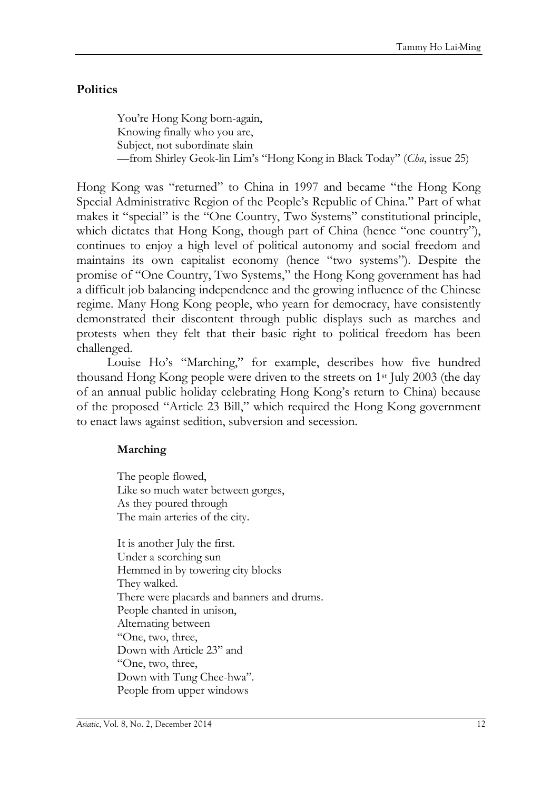# **Politics**

You're Hong Kong born-again, Knowing finally who you are, Subject, not subordinate slain —from Shirley Geok-lin Lim's "Hong Kong in Black Today" (*Cha*, issue 25)

Hong Kong was "returned" to China in 1997 and became "the Hong Kong Special Administrative Region of the People's Republic of China." Part of what makes it "special" is the "One Country, Two Systems" constitutional principle, which dictates that Hong Kong, though part of China (hence "one country"), continues to enjoy a high level of political autonomy and social freedom and maintains its own capitalist economy (hence "two systems"). Despite the promise of "One Country, Two Systems," the Hong Kong government has had a difficult job balancing independence and the growing influence of the Chinese regime. Many Hong Kong people, who yearn for democracy, have consistently demonstrated their discontent through public displays such as marches and protests when they felt that their basic right to political freedom has been challenged.

Louise Ho's "Marching," for example, describes how five hundred thousand Hong Kong people were driven to the streets on 1st July 2003 (the day of an annual public holiday celebrating Hong Kong's return to China) because of the proposed "Article 23 Bill," which required the Hong Kong government to enact laws against sedition, subversion and secession.

### **Marching**

The people flowed, Like so much water between gorges, As they poured through The main arteries of the city.

It is another July the first. Under a scorching sun Hemmed in by towering city blocks They walked. There were placards and banners and drums. People chanted in unison, Alternating between ―One, two, three, Down with Article 23" and ―One, two, three, Down with Tung Chee-hwa". People from upper windows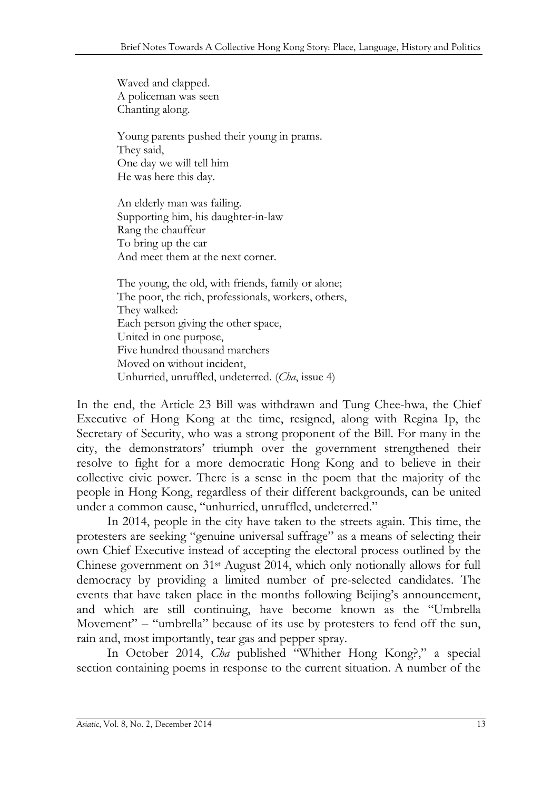Waved and clapped. A policeman was seen Chanting along.

Young parents pushed their young in prams. They said, One day we will tell him He was here this day.

An elderly man was failing. Supporting him, his daughter-in-law Rang the chauffeur To bring up the car And meet them at the next corner.

The young, the old, with friends, family or alone; The poor, the rich, professionals, workers, others, They walked: Each person giving the other space, United in one purpose, Five hundred thousand marchers Moved on without incident, Unhurried, unruffled, undeterred. (*Cha*, issue 4)

In the end, the Article 23 Bill was withdrawn and Tung Chee-hwa, the Chief Executive of Hong Kong at the time, resigned, along with Regina Ip, the Secretary of Security, who was a strong proponent of the Bill. For many in the city, the demonstrators' triumph over the government strengthened their resolve to fight for a more democratic Hong Kong and to believe in their collective civic power. There is a sense in the poem that the majority of the people in Hong Kong, regardless of their different backgrounds, can be united under a common cause, "unhurried, unruffled, undeterred."

In 2014, people in the city have taken to the streets again. This time, the protesters are seeking "genuine universal suffrage" as a means of selecting their own Chief Executive instead of accepting the electoral process outlined by the Chinese government on 31st August 2014, which only notionally allows for full democracy by providing a limited number of pre-selected candidates. The events that have taken place in the months following Beijing's announcement, and which are still continuing, have become known as the "Umbrella Movement" – "umbrella" because of its use by protesters to fend off the sun, rain and, most importantly, tear gas and pepper spray.

In October 2014, *Cha* published "Whither Hong Kong?," a special section containing poems in response to the current situation. A number of the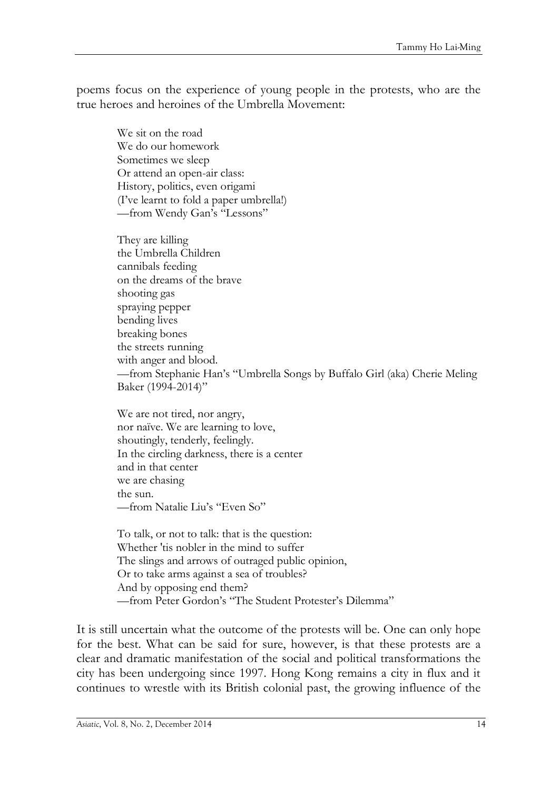poems focus on the experience of young people in the protests, who are the true heroes and heroines of the Umbrella Movement:

We sit on the road We do our homework Sometimes we sleep Or attend an open-air class: History, politics, even origami (I've learnt to fold a paper umbrella!) —from Wendy Gan's "Lessons"

They are killing the Umbrella Children cannibals feeding on the dreams of the brave shooting gas spraying pepper bending lives breaking bones the streets running with anger and blood. —from Stephanie Han's "Umbrella Songs by Buffalo Girl (aka) Cherie Meling Baker (1994-2014)"

We are not tired, nor angry, nor naïve. We are learning to love, shoutingly, tenderly, feelingly. In the circling darkness, there is a center and in that center we are chasing the sun. —from Natalie Liu's "Even So"

To talk, or not to talk: that is the question: Whether 'tis nobler in the mind to suffer The slings and arrows of outraged public opinion, Or to take arms against a sea of troubles? And by opposing end them? —from Peter Gordon's "The Student Protester's Dilemma"

It is still uncertain what the outcome of the protests will be. One can only hope for the best. What can be said for sure, however, is that these protests are a clear and dramatic manifestation of the social and political transformations the city has been undergoing since 1997. Hong Kong remains a city in flux and it continues to wrestle with its British colonial past, the growing influence of the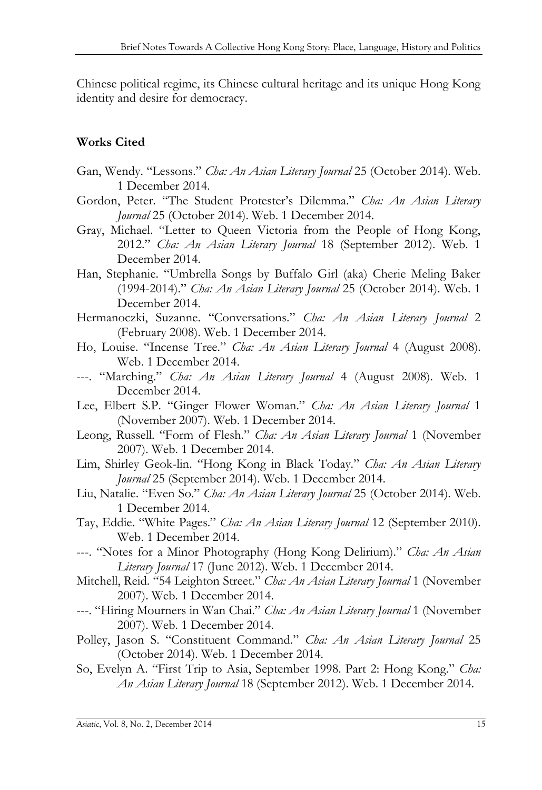Chinese political regime, its Chinese cultural heritage and its unique Hong Kong identity and desire for democracy.

# **Works Cited**

- Gan, Wendy. "Lessons." *Cha: An Asian Literary Journal* 25 (October 2014). Web. 1 December 2014.
- Gordon, Peter. "The Student Protester's Dilemma." Cha: An Asian Literary *Journal* 25 (October 2014). Web. 1 December 2014.
- Gray, Michael. "Letter to Queen Victoria from the People of Hong Kong, 2012." *Cha: An Asian Literary Journal* 18 (September 2012). Web. 1 December 2014.
- Han, Stephanie. "Umbrella Songs by Buffalo Girl (aka) Cherie Meling Baker (1994-2014).‖ *Cha: An Asian Literary Journal* 25 (October 2014). Web. 1 December 2014.
- Hermanoczki, Suzanne. "Conversations." Cha: An Asian Literary Journal 2 (February 2008). Web. 1 December 2014.
- Ho, Louise. "Incense Tree." *Cha: An Asian Literary Journal* 4 (August 2008). Web. 1 December 2014.
- ---. "Marching." *Cha: An Asian Literary Journal* 4 (August 2008). Web. 1 December 2014.
- Lee, Elbert S.P. "Ginger Flower Woman." Cha: An Asian Literary Journal 1 (November 2007). Web. 1 December 2014.
- Leong, Russell. "Form of Flesh." *Cha: An Asian Literary Journal* 1 (November 2007). Web. 1 December 2014.
- Lim, Shirley Geok-lin. "Hong Kong in Black Today." *Cha: An Asian Literary Journal* 25 (September 2014). Web. 1 December 2014.
- Liu, Natalie. "Even So." *Cha: An Asian Literary Journal* 25 (October 2014). Web. 1 December 2014.
- Tay, Eddie. "White Pages." *Cha: An Asian Literary Journal* 12 (September 2010). Web. 1 December 2014.
- ---. "Notes for a Minor Photography (Hong Kong Delirium)." *Cha: An Asian Literary Journal* 17 (June 2012). Web. 1 December 2014.
- Mitchell, Reid. "54 Leighton Street." *Cha: An Asian Literary Journal* 1 (November 2007). Web. 1 December 2014.
- ---. "Hiring Mourners in Wan Chai." *Cha: An Asian Literary Journal* 1 (November 2007). Web. 1 December 2014.
- Polley, Jason S. "Constituent Command." Cha: An Asian Literary Journal 25 (October 2014). Web. 1 December 2014.
- So, Evelyn A. "First Trip to Asia, September 1998. Part 2: Hong Kong." *Cha*: *An Asian Literary Journal* 18 (September 2012). Web. 1 December 2014.